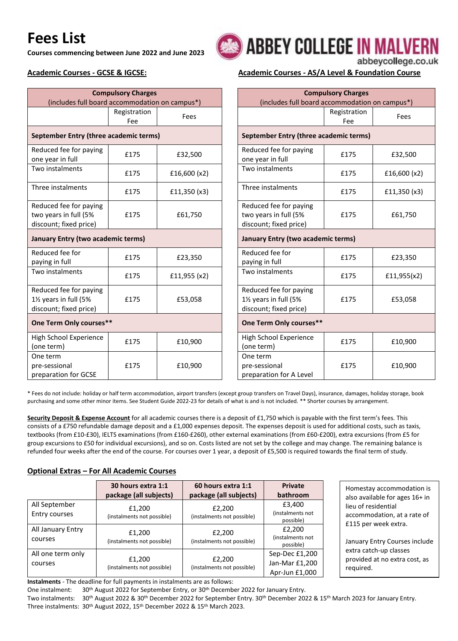# **Fees List**

**Courses commencing between June 2022 and June 2023**

| (includes full board accommodation on campus*)                                         | <b>Compulsory Charges</b> |              |                                    |
|----------------------------------------------------------------------------------------|---------------------------|--------------|------------------------------------|
|                                                                                        | Registration<br>Fee       | Fees         |                                    |
| September Entry (three academic terms)                                                 |                           |              | Septe                              |
| Reduced fee for paying<br>one year in full                                             | £175                      | £32,500      | Redu<br>one y                      |
| Two instalments                                                                        | £175                      | £16,600 (x2) | Two i                              |
| Three instalments                                                                      | £175                      | £11,350 (x3) | Three                              |
| Reduced fee for paying<br>two years in full (5%<br>discount; fixed price)              | £175                      | £61,750      | Redu<br>two y<br>disco             |
| January Entry (two academic terms)                                                     |                           |              | Janua                              |
| Reduced fee for<br>paying in full                                                      | £175                      | £23,350      | Redu<br>payin                      |
| Two instalments                                                                        | £175                      | £11,955 (x2) | Two i                              |
| Reduced fee for paying<br>11/ <sub>2</sub> years in full (5%<br>discount; fixed price) | £175                      | £53,058      | Redu<br>$1\frac{1}{2}$ ye<br>disco |
| One Term Only courses**                                                                |                           |              | One 1                              |
| High School Experience<br>(one term)                                                   | £175                      | £10,900      | High:<br>(one                      |
| One term<br>pre-sessional<br>preparation for GCSE                                      | £175                      | £10,900      | One t<br>pre-s<br>prepa            |

## **ABBEY COLLEGE IN MALVERN** abbeycollege.co.uk

### **Academic Courses - GCSE & IGCSE: Academic Courses - AS/A Level & Foundation Course**

| <b>Compulsory Charges</b><br>(includes full board accommodation on campus*)            |                     |              |  |  |
|----------------------------------------------------------------------------------------|---------------------|--------------|--|--|
|                                                                                        | Registration<br>Fee | Fees         |  |  |
| September Entry (three academic terms)                                                 |                     |              |  |  |
| Reduced fee for paying<br>one year in full                                             | £175                | £32,500      |  |  |
| Two instalments                                                                        | £175                | £16,600 (x2) |  |  |
| Three instalments                                                                      | £175                | £11,350 (x3) |  |  |
| Reduced fee for paying<br>two years in full (5%<br>discount; fixed price)              | £175                | £61,750      |  |  |
| January Entry (two academic terms)                                                     |                     |              |  |  |
| Reduced fee for<br>paying in full                                                      | £175                | £23,350      |  |  |
| Two instalments                                                                        | £175                | £11,955(x2)  |  |  |
| Reduced fee for paying<br>11/ <sub>2</sub> years in full (5%<br>discount; fixed price) | £175                | £53,058      |  |  |
| One Term Only courses**                                                                |                     |              |  |  |
| High School Experience<br>(one term)                                                   | £175                | £10,900      |  |  |
| One term<br>pre-sessional<br>preparation for A Level                                   | £175                | £10,900      |  |  |

\* Fees do not include: holiday or half term accommodation, airport transfers (except group transfers on Travel Days), insurance, damages, holiday storage, book purchasing and some other minor items. See Student Guide 2022-23 for details of what is and is not included. \*\* Shorter courses by arrangement.

**Security Deposit & Expense Account** for all academic courses there is a deposit of £1,750 which is payable with the first term's fees. This consists of a £750 refundable damage deposit and a £1,000 expenses deposit. The expenses deposit is used for additional costs, such as taxis, textbooks (from £10-£30), IELTS examinations (from £160-£260), other external examinations (from £60-£200), extra excursions (from £5 for group excursions to £50 for individual excursions), and so on. Costs listed are not set by the college and may change. The remaining balance is refunded four weeks after the end of the course. For courses over 1 year, a deposit of £5,500 is required towards the final term of study.

#### **Optional Extras – For All Academic Courses**

|                                | 30 hours extra 1:1<br>package (all subjects) | 60 hours extra 1:1<br>package (all subjects) | <b>Private</b><br>bathroom                         |
|--------------------------------|----------------------------------------------|----------------------------------------------|----------------------------------------------------|
| All September<br>Entry courses | £1,200<br>(instalments not possible)         | £2,200<br>(instalments not possible)         | £3,400<br>(instalments not<br>possible)            |
| All January Entry<br>courses   | £1,200<br>(instalments not possible)         | £2,200<br>(instalments not possible)         | £2,200<br>(instalments not<br>possible)            |
| All one term only<br>courses   | £1,200<br>(instalments not possible)         | £2,200<br>(instalments not possible)         | Sep-Dec £1,200<br>Jan-Mar £1,200<br>Apr-Jun £1,000 |

Homestay accommodation is also available for ages 16+ in lieu of residential accommodation, at a rate of £115 per week extra.

January Entry Courses include extra catch-up classes provided at no extra cost, as required.

**Instalments** - The deadline for full payments in instalments are as follows:

One instalment: 30<sup>th</sup> August 2022 for September Entry, or 30<sup>th</sup> December 2022 for January Entry.

Two instalments: 30<sup>th</sup> August 2022 & 30<sup>th</sup> December 2022 for September Entry. 30<sup>th</sup> December 2022 & 15<sup>th</sup> March 2023 for January Entry. Three instalments: 30<sup>th</sup> August 2022, 15<sup>th</sup> December 2022 & 15<sup>th</sup> March 2023.